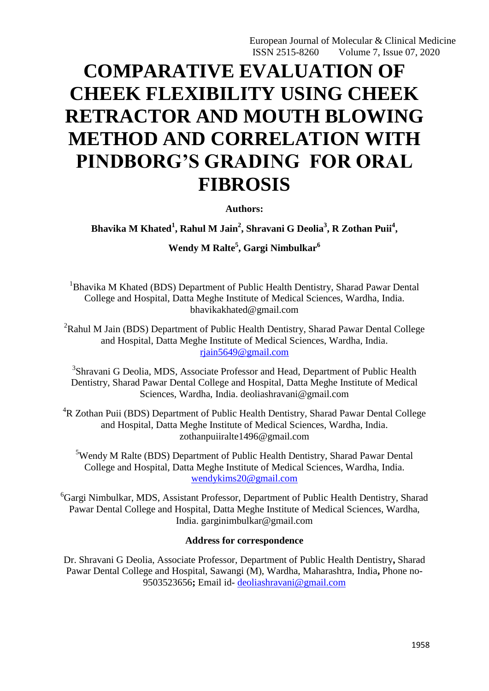# **COMPARATIVE EVALUATION OF CHEEK FLEXIBILITY USING CHEEK RETRACTOR AND MOUTH BLOWING METHOD AND CORRELATION WITH PINDBORG'S GRADING FOR ORAL FIBROSIS**

**Authors:**

Bhavika M Khated<sup>1</sup>, Rahul M Jain<sup>2</sup>, Shravani G Deolia<sup>3</sup>, R Zothan Puii<sup>4</sup>,

**Wendy M Ralte<sup>5</sup> , Gargi Nimbulkar<sup>6</sup>**

<sup>1</sup>Bhavika M Khated (BDS) Department of Public Health Dentistry, Sharad Pawar Dental College and Hospital, Datta Meghe Institute of Medical Sciences, Wardha, India. bhavikakhated@gmail.com

 $2R$ ahul M Jain (BDS) Department of Public Health Dentistry, Sharad Pawar Dental College and Hospital, Datta Meghe Institute of Medical Sciences, Wardha, India. [rjain5649@gmail.com](mailto:rjain5649@gmail.com)

<sup>3</sup>Shravani G Deolia, MDS, Associate Professor and Head, Department of Public Health Dentistry, Sharad Pawar Dental College and Hospital, Datta Meghe Institute of Medical Sciences, Wardha, India. deoliashravani@gmail.com

<sup>4</sup>R Zothan Puii (BDS) Department of Public Health Dentistry, Sharad Pawar Dental College and Hospital, Datta Meghe Institute of Medical Sciences, Wardha, India. zothanpuiiralte1496@gmail.com

<sup>5</sup>Wendy M Ralte (BDS) Department of Public Health Dentistry, Sharad Pawar Dental College and Hospital, Datta Meghe Institute of Medical Sciences, Wardha, India. [wendykims20@gmail.com](mailto:wendykims20@gmail.com)

<sup>6</sup>Gargi Nimbulkar, MDS, Assistant Professor, Department of Public Health Dentistry, Sharad Pawar Dental College and Hospital, Datta Meghe Institute of Medical Sciences, Wardha, India. garginimbulkar@gmail.com

## **Address for correspondence**

Dr. Shravani G Deolia, Associate Professor, Department of Public Health Dentistry**,** Sharad Pawar Dental College and Hospital, Sawangi (M), Wardha, Maharashtra, India**,** Phone no-9503523656**;** Email id- [deoliashravani@gmail.com](mailto:deoliashravani@gmail.com)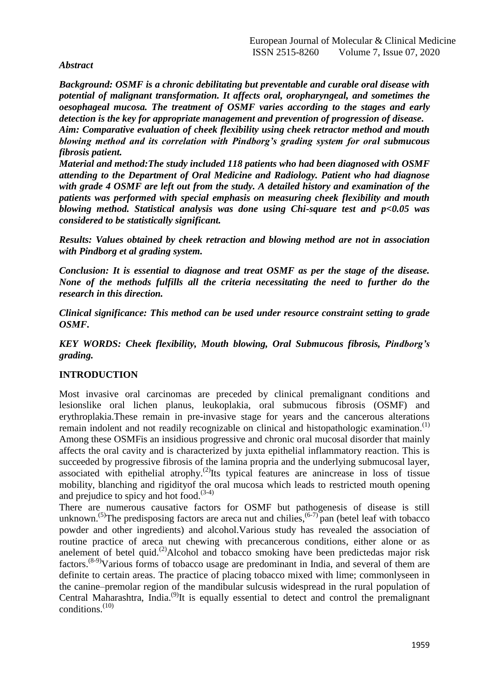## *Abstract*

*Background: OSMF is a chronic debilitating but preventable and curable oral disease with potential of malignant transformation. It affects oral, oropharyngeal, and sometimes the oesophageal mucosa. The treatment of OSMF varies according to the stages and early detection is the key for appropriate management and prevention of progression of disease. Aim: Comparative evaluation of cheek flexibility using cheek retractor method and mouth blowing method and its correlation with Pindborg's grading system for oral submucous fibrosis patient.*

*Material and method:The study included 118 patients who had been diagnosed with OSMF attending to the Department of Oral Medicine and Radiology. Patient who had diagnose with grade 4 OSMF are left out from the study. A detailed history and examination of the patients was performed with special emphasis on measuring cheek flexibility and mouth blowing method. Statistical analysis was done using Chi-square test and p<0.05 was considered to be statistically significant.*

*Results: Values obtained by cheek retraction and blowing method are not in association with Pindborg et al grading system.*

*Conclusion: It is essential to diagnose and treat OSMF as per the stage of the disease. None of the methods fulfills all the criteria necessitating the need to further do the research in this direction.*

*Clinical significance: This method can be used under resource constraint setting to grade OSMF.*

*KEY WORDS: Cheek flexibility, Mouth blowing, Oral Submucous fibrosis, Pindborg's grading.*

## **INTRODUCTION**

Most invasive oral carcinomas are preceded by clinical premalignant conditions and lesionslike oral lichen planus, leukoplakia, oral submucous fibrosis (OSMF) and erythroplakia.These remain in pre-invasive stage for years and the cancerous alterations remain indolent and not readily recognizable on clinical and histopathologic examination.<sup>(1)</sup> Among these OSMFis an insidious progressive and chronic oral mucosal disorder that mainly affects the oral cavity and is characterized by juxta epithelial inflammatory reaction. This is succeeded by progressive fibrosis of the lamina propria and the underlying submucosal layer, associated with epithelial atrophy.<sup>(2)</sup>Its typical features are anincrease in loss of tissue mobility, blanching and rigidityof the oral mucosa which leads to restricted mouth opening and prejudice to spicy and hot food. $(3-4)$ 

There are numerous causative factors for OSMF but pathogenesis of disease is still unknown.<sup>(5)</sup>The predisposing factors are areca nut and chilies,  $(6-7)$  pan (betel leaf with tobacco powder and other ingredients) and alcohol.Various study has revealed the association of routine practice of areca nut chewing with precancerous conditions, either alone or as anelement of betel quid.<sup>(2)</sup>Alcohol and tobacco smoking have been predictedas major risk factors.(8-9)Various forms of tobacco usage are predominant in India, and several of them are definite to certain areas. The practice of placing tobacco mixed with lime; commonlyseen in the canine–premolar region of the mandibular sulcusis widespread in the rural population of Central Maharashtra, India.<sup>(9)</sup>It is equally essential to detect and control the premalignant  $conditions<sup>(10)</sup>$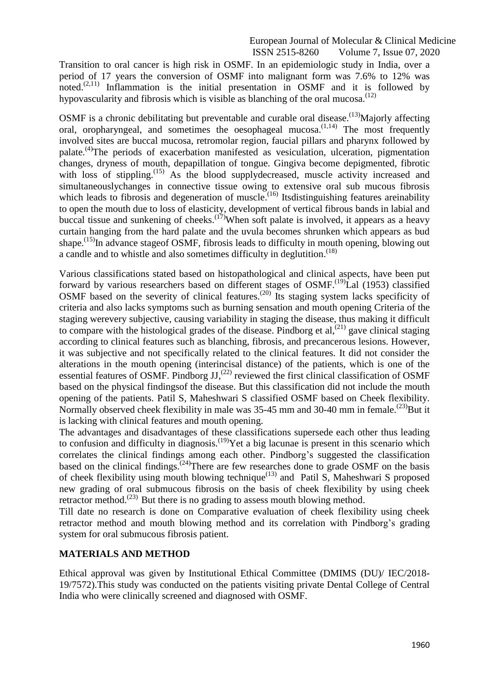Transition to oral cancer is high risk in OSMF. In an epidemiologic study in India, over a period of 17 years the conversion of OSMF into malignant form was 7.6% to 12% was noted.<sup> $(2,11)$ </sup> Inflammation is the initial presentation in OSMF and it is followed by hypovascularity and fibrosis which is visible as blanching of the oral mucosa.<sup> $(12)$ </sup>

OSMF is a chronic debilitating but preventable and curable oral disease.<sup>(13)</sup>Majorly affecting oral, oropharyngeal, and sometimes the oesophageal mucosa.<sup>(1,14)</sup> The most frequently involved sites are buccal mucosa, retromolar region, faucial pillars and pharynx followed by palate.<sup>(4)</sup>The periods of exacerbation manifested as vesiculation, ulceration, pigmentation changes, dryness of mouth, depapillation of tongue. Gingiva become depigmented, fibrotic with loss of stippling.<sup>(15)</sup> As the blood supplydecreased, muscle activity increased and simultaneouslychanges in connective tissue owing to extensive oral sub mucous fibrosis which leads to fibrosis and degeneration of muscle.<sup>(16)</sup> Itsdistinguishing features areinability to open the mouth due to loss of elasticity, development of vertical fibrous bands in labial and buccal tissue and sunkening of cheeks.  $(17)$ When soft palate is involved, it appears as a heavy curtain hanging from the hard palate and the uvula becomes shrunken which appears as bud shape.<sup>(15)</sup>In advance stageof OSMF, fibrosis leads to difficulty in mouth opening, blowing out a candle and to whistle and also sometimes difficulty in deglutition.<sup>(18)</sup>

Various classifications stated based on histopathological and clinical aspects, have been put forward by various researchers based on different stages of OSMF.<sup>(19)</sup>Lal (1953) classified OSMF based on the severity of clinical features.<sup>(20)</sup> Its staging system lacks specificity of criteria and also lacks symptoms such as burning sensation and mouth opening Criteria of the staging werevery subjective, causing variability in staging the disease, thus making it difficult to compare with the histological grades of the disease. Pindborg et al,  $(21)$  gave clinical staging according to clinical features such as blanching, fibrosis, and precancerous lesions. However, it was subjective and not specifically related to the clinical features. It did not consider the alterations in the mouth opening (interincisal distance) of the patients, which is one of the essential features of OSMF. Pindborg JJ,<sup>(22)</sup> reviewed the first clinical classification of OSMF based on the physical findingsof the disease. But this classification did not include the mouth opening of the patients. Patil S, Maheshwari S classified OSMF based on Cheek flexibility. Normally observed cheek flexibility in male was 35-45 mm and 30-40 mm in female.<sup>(23)</sup>But it is lacking with clinical features and mouth opening.

The advantages and disadvantages of these classifications supersede each other thus leading to confusion and difficulty in diagnosis.<sup>(19)</sup>Yet a big lacunae is present in this scenario which correlates the clinical findings among each other. Pindborg's suggested the classification based on the clinical findings.<sup> $(24)$ </sup>There are few researches done to grade OSMF on the basis of cheek flexibility using mouth blowing technique<sup> $(13)$ </sup> and Patil S, Maheshwari S proposed new grading of oral submucous fibrosis on the basis of cheek flexibility by using cheek retractor method.<sup> $(23)$ </sup> But there is no grading to assess mouth blowing method.

Till date no research is done on Comparative evaluation of cheek flexibility using cheek retractor method and mouth blowing method and its correlation with Pindborg's grading system for oral submucous fibrosis patient.

## **MATERIALS AND METHOD**

Ethical approval was given by Institutional Ethical Committee (DMIMS (DU)/ IEC/2018- 19/7572).This study was conducted on the patients visiting private Dental College of Central India who were clinically screened and diagnosed with OSMF.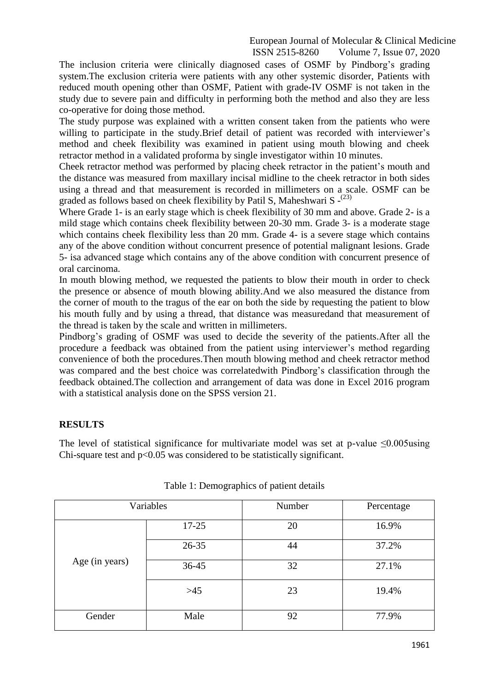The inclusion criteria were clinically diagnosed cases of OSMF by Pindborg's grading system.The exclusion criteria were patients with any other systemic disorder, Patients with reduced mouth opening other than OSMF, Patient with grade-IV OSMF is not taken in the study due to severe pain and difficulty in performing both the method and also they are less co-operative for doing those method.

The study purpose was explained with a written consent taken from the patients who were willing to participate in the study. Brief detail of patient was recorded with interviewer's method and cheek flexibility was examined in patient using mouth blowing and cheek retractor method in a validated proforma by single investigator within 10 minutes.

Cheek retractor method was performed by placing cheek retractor in the patient's mouth and the distance was measured from maxillary incisal midline to the cheek retractor in both sides using a thread and that measurement is recorded in millimeters on a scale. OSMF can be graded as follows based on cheek flexibility by Patil S, Maheshwari S -<sup>(23)</sup>

Where Grade 1- is an early stage which is cheek flexibility of 30 mm and above. Grade 2- is a mild stage which contains cheek flexibility between 20-30 mm. Grade 3- is a moderate stage which contains cheek flexibility less than 20 mm. Grade 4- is a severe stage which contains any of the above condition without concurrent presence of potential malignant lesions. Grade 5- isa advanced stage which contains any of the above condition with concurrent presence of oral carcinoma.

In mouth blowing method, we requested the patients to blow their mouth in order to check the presence or absence of mouth blowing ability.And we also measured the distance from the corner of mouth to the tragus of the ear on both the side by requesting the patient to blow his mouth fully and by using a thread, that distance was measuredand that measurement of the thread is taken by the scale and written in millimeters.

Pindborg's grading of OSMF was used to decide the severity of the patients.After all the procedure a feedback was obtained from the patient using interviewer's method regarding convenience of both the procedures.Then mouth blowing method and cheek retractor method was compared and the best choice was correlatedwith Pindborg's classification through the feedback obtained.The collection and arrangement of data was done in Excel 2016 program with a statistical analysis done on the SPSS version 21.

## **RESULTS**

The level of statistical significance for multivariate model was set at p-value  $\leq 0.005$ using Chi-square test and  $p<0.05$  was considered to be statistically significant.

|                | Variables | Number | Percentage |
|----------------|-----------|--------|------------|
|                | $17 - 25$ | 20     | 16.9%      |
|                | $26 - 35$ | 44     | 37.2%      |
| Age (in years) | $36 - 45$ | 32     | 27.1%      |
|                | $>45$     | 23     | 19.4%      |
| Gender         | Male      | 92     | 77.9%      |

Table 1: Demographics of patient details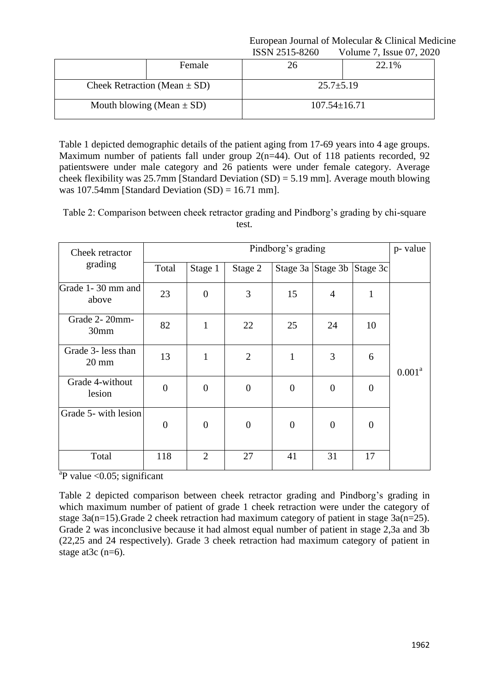|                                  | <b>IDDIY 2J1J-0200</b> | v Olutilic $\ell$ , ISSUC U $\ell$ , 202 |  |  |  |
|----------------------------------|------------------------|------------------------------------------|--|--|--|
| Female                           | 26                     | 22.1%                                    |  |  |  |
| Cheek Retraction (Mean $\pm$ SD) | $25.7 \pm 5.19$        |                                          |  |  |  |
| Mouth blowing (Mean $\pm$ SD)    | $107.54 \pm 16.71$     |                                          |  |  |  |

Table 1 depicted demographic details of the patient aging from 17-69 years into 4 age groups. Maximum number of patients fall under group 2(n=44). Out of 118 patients recorded, 92 patientswere under male category and 26 patients were under female category. Average cheek flexibility was 25.7mm [Standard Deviation  $(SD) = 5.19$  mm]. Average mouth blowing was 107.54mm [Standard Deviation (SD) = 16.71 mm].

Table 2: Comparison between cheek retractor grading and Pindborg's grading by chi-square test.

| Cheek retractor                       | Pindborg's grading |                  |                  |                |                            |                |                    |  |
|---------------------------------------|--------------------|------------------|------------------|----------------|----------------------------|----------------|--------------------|--|
| grading                               | Total              | Stage 1          | Stage 2          |                | Stage 3a Stage 3b Stage 3c |                |                    |  |
| Grade 1-30 mm and<br>above            | 23                 | $\boldsymbol{0}$ | 3                | 15             | $\overline{4}$             | 1              |                    |  |
| Grade 2-20mm-<br>30mm                 | 82                 | $\mathbf{1}$     | 22               | 25             | 24                         | 10             |                    |  |
| Grade 3- less than<br>$20 \text{ mm}$ | 13                 | $\mathbf{1}$     | $\overline{2}$   | $\mathbf{1}$   | 3                          | 6              | 0.001 <sup>a</sup> |  |
| Grade 4-without<br>lesion             | $\overline{0}$     | $\overline{0}$   | $\boldsymbol{0}$ | $\overline{0}$ | $\boldsymbol{0}$           | $\theta$       |                    |  |
| Grade 5- with lesion                  | $\boldsymbol{0}$   | $\overline{0}$   | $\boldsymbol{0}$ | $\overline{0}$ | $\theta$                   | $\overline{0}$ |                    |  |
| Total                                 | 118                | $\overline{2}$   | 27               | 41             | 31                         | 17             |                    |  |

 $a^2P$  value < 0.05; significant

Table 2 depicted comparison between cheek retractor grading and Pindborg's grading in which maximum number of patient of grade 1 cheek retraction were under the category of stage 3a(n=15).Grade 2 cheek retraction had maximum category of patient in stage 3a(n=25). Grade 2 was inconclusive because it had almost equal number of patient in stage 2,3a and 3b (22,25 and 24 respectively). Grade 3 cheek retraction had maximum category of patient in stage at 3c (n=6).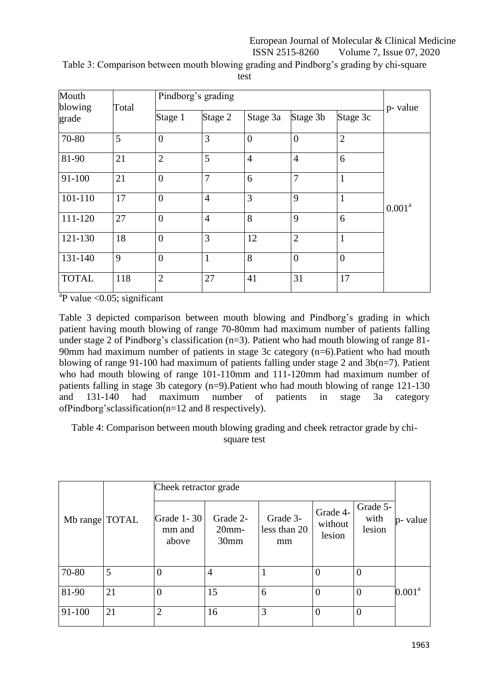| Mouth<br>blowing | Total |                | Pindborg's grading                                     |                |                  |                |                    |  |  |  |
|------------------|-------|----------------|--------------------------------------------------------|----------------|------------------|----------------|--------------------|--|--|--|
| grade            |       |                | Stage 2<br>Stage 3b<br>Stage 3c<br>Stage 3a<br>Stage 1 |                |                  |                | p- value           |  |  |  |
| 70-80            | 5     | $\overline{0}$ | 3                                                      | $\overline{0}$ | $\boldsymbol{0}$ | $\overline{2}$ |                    |  |  |  |
| 81-90            | 21    | $\overline{2}$ | 5                                                      | $\overline{4}$ | $\overline{4}$   | 6              |                    |  |  |  |
| 91-100           | 21    | $\overline{0}$ | $\overline{7}$                                         | 6              | $\overline{7}$   | $\mathbf{1}$   |                    |  |  |  |
| 101-110          | 17    | $\overline{0}$ | $\overline{4}$                                         | 3              | 9                | $\mathbf{1}$   | 0.001 <sup>a</sup> |  |  |  |
| 111-120          | 27    | $\overline{0}$ | $\overline{4}$                                         | 8              | 9                | 6              |                    |  |  |  |
| 121-130          | 18    | $\overline{0}$ | 3                                                      | 12             | $\overline{2}$   | $\mathbf{1}$   |                    |  |  |  |
| 131-140          | 9     | $\overline{0}$ | $\mathbf{1}$                                           | 8              | $\overline{0}$   | $\overline{0}$ |                    |  |  |  |
| <b>TOTAL</b>     | 118   | $\overline{2}$ | 27                                                     | 41             | 31               | 17             |                    |  |  |  |

Table 3: Comparison between mouth blowing grading and Pindborg's grading by chi-square

test

 $a^2P$  value <0.05; significant

Table 3 depicted comparison between mouth blowing and Pindborg's grading in which patient having mouth blowing of range 70-80mm had maximum number of patients falling under stage 2 of Pindborg's classification  $(n=3)$ . Patient who had mouth blowing of range 81-90mm had maximum number of patients in stage 3c category (n=6).Patient who had mouth blowing of range 91-100 had maximum of patients falling under stage 2 and 3b(n=7). Patient who had mouth blowing of range 101-110mm and 111-120mm had maximum number of patients falling in stage 3b category (n=9).Patient who had mouth blowing of range 121-130 and 131-140 had maximum number of patients in stage 3a category ofPindborg'sclassification(n=12 and 8 respectively).

Table 4: Comparison between mouth blowing grading and cheek retractor grade by chisquare test

|                |    | Cheek retractor grade           |                                          |                                |                               |                            |                    |
|----------------|----|---------------------------------|------------------------------------------|--------------------------------|-------------------------------|----------------------------|--------------------|
| Mb range TOTAL |    | Grade 1 - 30<br>mm and<br>above | Grade 2-<br>$20$ mm-<br>30 <sub>mm</sub> | Grade 3-<br>less than 20<br>mm | Grade 4-<br>without<br>lesion | Grade 5-<br>with<br>lesion | p- value           |
| 70-80          | 5  | 0                               | $\overline{4}$                           |                                | $\overline{0}$                | $\overline{0}$             |                    |
| 81-90          | 21 | $\theta$                        | 15                                       | 6                              | $\overline{0}$                | $\overline{0}$             | 0.001 <sup>a</sup> |
| 91-100         | 21 | $\overline{2}$                  | 16                                       | 3                              | $\overline{0}$                | $\overline{0}$             |                    |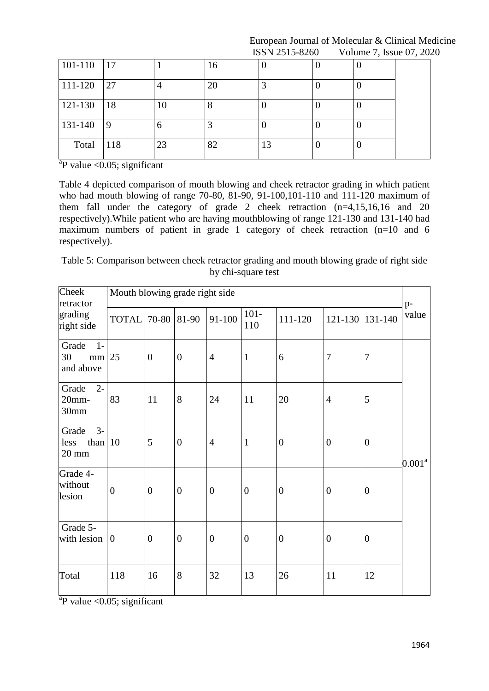| 101-110 | 17  |    | 16 |    |   |  |
|---------|-----|----|----|----|---|--|
| 111-120 | 27  |    | 20 |    | ν |  |
| 121-130 | 18  | 10 | Ω  |    | v |  |
| 131-140 | 9   | n  |    |    | v |  |
| Total   | 118 | 23 | 82 | 13 |   |  |

 $a^2P$  value <0.05; significant

Table 4 depicted comparison of mouth blowing and cheek retractor grading in which patient who had mouth blowing of range 70-80, 81-90, 91-100,101-110 and 111-120 maximum of them fall under the category of grade 2 cheek retraction  $(n=4,15,16,16$  and 20 respectively).While patient who are having mouthblowing of range 121-130 and 131-140 had maximum numbers of patient in grade 1 category of cheek retraction (n=10 and 6 respectively).

Table 5: Comparison between cheek retractor grading and mouth blowing grade of right side by chi-square test

| Cheek<br>retractor                                    | Mouth blowing grade right side |                |                  |                  |                |                |                  |                  |                    |  |
|-------------------------------------------------------|--------------------------------|----------------|------------------|------------------|----------------|----------------|------------------|------------------|--------------------|--|
| grading<br>right side                                 | TOTAL 70-80 81-90              |                |                  | 91-100           | $101 -$<br>110 | 111-120        |                  | 121-130 131-140  | p-<br>value        |  |
| Grade<br>$1-$<br>30<br>$mm$ 25<br>and above           |                                | $\overline{0}$ | $\boldsymbol{0}$ | $\overline{4}$   | $\mathbf{1}$   | 6              | $\overline{7}$   | $\tau$           |                    |  |
| $2 -$<br>Grade<br>$20$ mm-<br>30mm                    | 83                             | 11             | 8                | 24               | 11             | 20             | $\overline{4}$   | 5                |                    |  |
| $3-$<br>Grade<br>than $10$<br>less<br>$20 \text{ mm}$ |                                | 5              | $\overline{0}$   | $\overline{4}$   | $\mathbf{1}$   | $\mathbf{0}$   | $\boldsymbol{0}$ | $\boldsymbol{0}$ | 0.001 <sup>a</sup> |  |
| Grade 4-<br>without<br>lesion                         | $\overline{0}$                 | $\overline{0}$ | $\overline{0}$   | $\overline{0}$   | $\mathbf{0}$   | $\overline{0}$ | $\mathbf{0}$     | $\boldsymbol{0}$ |                    |  |
| Grade 5-<br>with lesion $ 0$                          |                                | $\overline{0}$ | $\overline{0}$   | $\boldsymbol{0}$ | $\mathbf{0}$   | $\overline{0}$ | $\boldsymbol{0}$ | $\boldsymbol{0}$ |                    |  |
| Total                                                 | 118                            | 16             | 8                | 32               | 13             | 26             | 11               | 12               |                    |  |

 $a^2P$  value <0.05; significant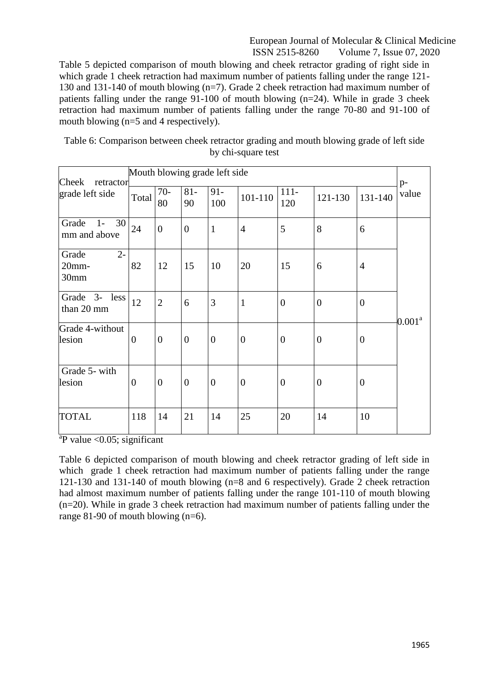Table 5 depicted comparison of mouth blowing and cheek retractor grading of right side in which grade 1 cheek retraction had maximum number of patients falling under the range 121- 130 and 131-140 of mouth blowing (n=7). Grade 2 cheek retraction had maximum number of patients falling under the range 91-100 of mouth blowing (n=24). While in grade 3 cheek retraction had maximum number of patients falling under the range 70-80 and 91-100 of mouth blowing (n=5 and 4 respectively).

| Table 6: Comparison between cheek retractor grading and mouth blowing grade of left side |                    |  |  |
|------------------------------------------------------------------------------------------|--------------------|--|--|
|                                                                                          | by chi-square test |  |  |

| Cheek<br>retractor                  | Mouth blowing grade left side |                |                |                                                                           |                  |                  |                |                  | $p-$               |
|-------------------------------------|-------------------------------|----------------|----------------|---------------------------------------------------------------------------|------------------|------------------|----------------|------------------|--------------------|
| grade left side                     | Total                         | $70-$<br>80    | $81 -$<br>90   | $91 -$<br>$111 -$<br>value<br>101-110<br>131-140<br>121-130<br>120<br>100 |                  |                  |                |                  |                    |
| 30<br>Grade<br>$1-$<br>mm and above | 24                            | $\overline{0}$ | $\overline{0}$ | $\mathbf{1}$                                                              | $\overline{4}$   | 5                | 8              | 6                |                    |
| $2 -$<br>Grade<br>20mm-<br>30mm     | 82                            | 12             | 15             | 10                                                                        | 20               | 15               | 6              | $\overline{4}$   |                    |
| Grade 3-<br>less<br>than 20 mm      | 12                            | $\mathbf{2}$   | 6              | 3                                                                         | $\mathbf{1}$     | $\overline{0}$   | $\overline{0}$ | $\boldsymbol{0}$ |                    |
| Grade 4-without<br>lesion           | $\overline{0}$                | $\overline{0}$ | $\overline{0}$ | $\boldsymbol{0}$                                                          | $\boldsymbol{0}$ | $\boldsymbol{0}$ | $\mathbf{0}$   | $\boldsymbol{0}$ | 0.001 <sup>a</sup> |
| Grade 5- with<br>lesion             | $\boldsymbol{0}$              | $\overline{0}$ | $\overline{0}$ | $\overline{0}$                                                            | $\overline{0}$   | $\overline{0}$   | $\mathbf{0}$   | $\boldsymbol{0}$ |                    |
| <b>TOTAL</b>                        | 118                           | 14             | 21             | 14                                                                        | 25               | 20               | 14             | 10               |                    |

 $a$ P value <0.05; significant

Table 6 depicted comparison of mouth blowing and cheek retractor grading of left side in which grade 1 cheek retraction had maximum number of patients falling under the range 121-130 and 131-140 of mouth blowing (n=8 and 6 respectively). Grade 2 cheek retraction had almost maximum number of patients falling under the range 101-110 of mouth blowing (n=20). While in grade 3 cheek retraction had maximum number of patients falling under the range 81-90 of mouth blowing (n=6).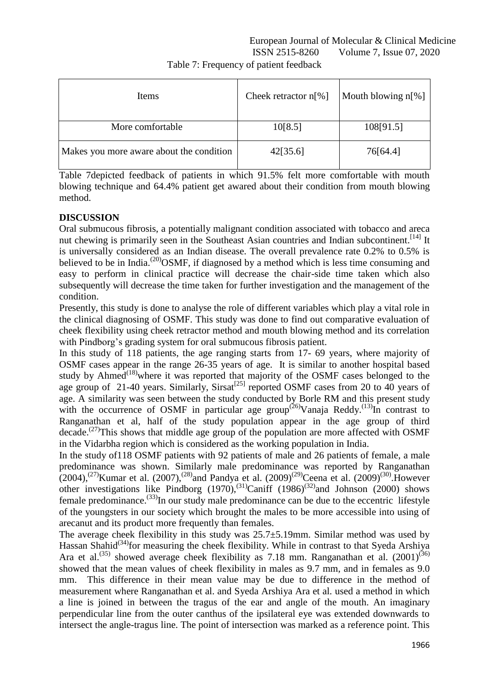| Items                                    | Cheek retractor $n[\%]$ | Mouth blowing $n[\%]$ |
|------------------------------------------|-------------------------|-----------------------|
| More comfortable                         | 10[8.5]                 | 108[91.5]             |
| Makes you more aware about the condition | 42[35.6]                | 76[64.4]              |

Table 7: Frequency of patient feedback

Table 7depicted feedback of patients in which 91.5% felt more comfortable with mouth blowing technique and 64.4% patient get awared about their condition from mouth blowing method.

## **DISCUSSION**

Oral submucous fibrosis, a potentially malignant condition associated with tobacco and areca nut chewing is primarily seen in the Southeast Asian countries and Indian subcontinent.<sup>[14]</sup> It is universally considered as an Indian disease. The overall prevalence rate 0.2% to 0.5% is believed to be in India.<sup>(20)</sup>OSMF, if diagnosed by a method which is less time consuming and easy to perform in clinical practice will decrease the chair-side time taken which also subsequently will decrease the time taken for further investigation and the management of the condition.

Presently, this study is done to analyse the role of different variables which play a vital role in the clinical diagnosing of OSMF. This study was done to find out comparative evaluation of cheek flexibility using cheek retractor method and mouth blowing method and its correlation with Pindborg's grading system for oral submucous fibrosis patient.

In this study of 118 patients, the age ranging starts from 17- 69 years, where majority of OSMF cases appear in the range 26-35 years of age. It is similar to another hospital based study by Ahmed<sup> $(18)$ </sup>where it was reported that majority of the OSMF cases belonged to the age group of 21-40 years. Similarly, Sirsat<sup>[25]</sup> reported OSMF cases from 20 to 40 years of age. A similarity was seen between the study conducted by Borle RM and this present study with the occurrence of OSMF in particular age group<sup>(26)</sup>Vanaja Reddy.<sup>(13)</sup>In contrast to Ranganathan et al, half of the study population appear in the age group of third decade.<sup>(27)</sup>This shows that middle age group of the population are more affected with OSMF in the Vidarbha region which is considered as the working population in India.

In the study of118 OSMF patients with 92 patients of male and 26 patients of female, a male predominance was shown. Similarly male predominance was reported by Ranganathan  $(2004)$ ,<sup>(27)</sup>Kumar et al. (2007),<sup>(28)</sup>and Pandya et al. (2009)<sup>(29)</sup>Ceena et al. (2009)<sup>(30)</sup>. However other investigations like Pindborg  $(1970)$ ,<sup>(31)</sup>Caniff  $(1986)$ <sup>(32)</sup>and Johnson (2000) shows female predominance.<sup>(33)</sup>In our study male predominance can be due to the eccentric lifestyle of the youngsters in our society which brought the males to be more accessible into using of arecanut and its product more frequently than females.

The average cheek flexibility in this study was 25.7±5.19mm. Similar method was used by Hassan Shahid<sup> $(34)$ </sup>for measuring the cheek flexibility. While in contrast to that Syeda Arshiya Ara et al.<sup>(35)</sup> showed average cheek flexibility as 7.18 mm. Ranganathan et al. (2001)<sup>(36)</sup> showed that the mean values of cheek flexibility in males as 9.7 mm, and in females as 9.0 mm. This difference in their mean value may be due to difference in the method of measurement where Ranganathan et al. and Syeda Arshiya Ara et al. used a method in which a line is joined in between the tragus of the ear and angle of the mouth. An imaginary perpendicular line from the outer canthus of the ipsilateral eye was extended downwards to intersect the angle-tragus line. The point of intersection was marked as a reference point. This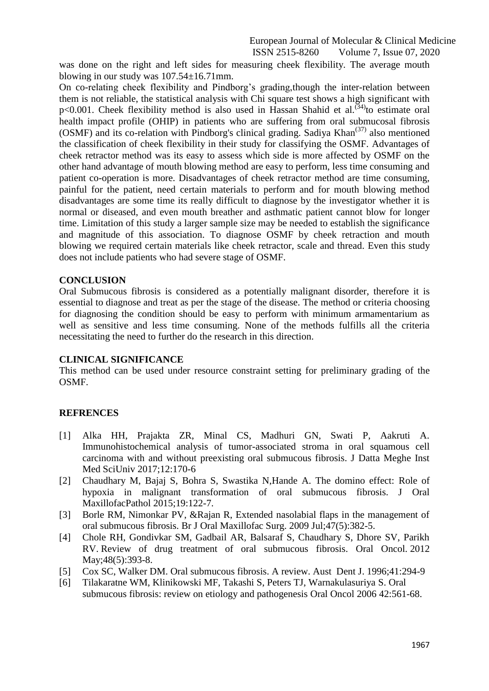European Journal of Molecular & Clinical Medicine

ISSN 2515-8260 Volume 7, Issue 07, 2020

was done on the right and left sides for measuring cheek flexibility. The average mouth blowing in our study was 107.54±16.71mm.

On co-relating cheek flexibility and Pindborg's grading,though the inter-relation between them is not reliable, the statistical analysis with Chi square test shows a high significant with  $p<0.001$ . Cheek flexibility method is also used in Hassan Shahid et al.<sup>(34)</sup> to estimate oral health impact profile (OHIP) in patients who are suffering from oral submucosal fibrosis  $(OSMF)$  and its co-relation with Pindborg's clinical grading. Sadiya Khan $(37)$  also mentioned the classification of cheek flexibility in their study for classifying the OSMF. Advantages of cheek retractor method was its easy to assess which side is more affected by OSMF on the other hand advantage of mouth blowing method are easy to perform, less time consuming and patient co-operation is more. Disadvantages of cheek retractor method are time consuming, painful for the patient, need certain materials to perform and for mouth blowing method disadvantages are some time its really difficult to diagnose by the investigator whether it is normal or diseased, and even mouth breather and asthmatic patient cannot blow for longer time. Limitation of this study a larger sample size may be needed to establish the significance and magnitude of this association. To diagnose OSMF by cheek retraction and mouth blowing we required certain materials like cheek retractor, scale and thread. Even this study does not include patients who had severe stage of OSMF.

#### **CONCLUSION**

Oral Submucous fibrosis is considered as a potentially malignant disorder, therefore it is essential to diagnose and treat as per the stage of the disease. The method or criteria choosing for diagnosing the condition should be easy to perform with minimum armamentarium as well as sensitive and less time consuming. None of the methods fulfills all the criteria necessitating the need to further do the research in this direction.

### **CLINICAL SIGNIFICANCE**

This method can be used under resource constraint setting for preliminary grading of the OSMF.

#### **REFRENCES**

- [1] Alka HH, Prajakta ZR, Minal CS, Madhuri GN, Swati P, Aakruti A. Immunohistochemical analysis of tumor-associated stroma in oral squamous cell carcinoma with and without preexisting oral submucous fibrosis. J Datta Meghe Inst Med SciUniv 2017;12:170-6
- [2] Chaudhary M, Bajaj S, Bohra S, Swastika N,Hande A. The domino effect: Role of hypoxia in malignant transformation of oral submucous fibrosis. J Oral MaxillofacPathol 2015;19:122-7.
- [3] Borle RM, Nimonkar PV, &Rajan R, Extended nasolabial flaps in the management of oral submucous fibrosis. Br J Oral [Maxillofac Surg.](https://www.ncbi.nlm.nih.gov/pubmed/18995935) 2009 Jul;47(5):382-5.
- [4] Chole RH, Gondivkar SM, Gadbail AR, Balsaraf S, Chaudhary S, Dhore SV, Parikh RV. Review of drug treatment of oral submucous fibrosis. [Oral Oncol.](https://www.ncbi.nlm.nih.gov/pubmed/22206808) 2012 May; 48(5): 393-8.
- [5] Cox SC, Walker DM. Oral submucous fibrosis. A review. Aust Dent J. 1996;41:294-9
- [6] Tilakaratne WM, Klinikowski MF, Takashi S, Peters TJ, Warnakulasuriya S. Oral submucous fibrosis: review on etiology and pathogenesis Oral Oncol 2006 42:561-68.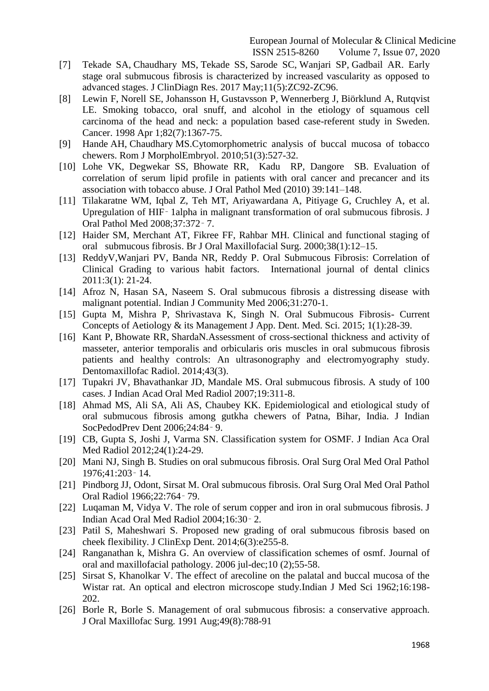- [7] [Tekade SA,](https://www.ncbi.nlm.nih.gov/pubmed/?term=Tekade%20SA%5BAuthor%5D&cauthor=true&cauthor_uid=28658917) [Chaudhary MS,](https://www.ncbi.nlm.nih.gov/pubmed/?term=Chaudhary%20MS%5BAuthor%5D&cauthor=true&cauthor_uid=28658917) [Tekade SS,](https://www.ncbi.nlm.nih.gov/pubmed/?term=Tekade%20SS%5BAuthor%5D&cauthor=true&cauthor_uid=28658917) [Sarode SC,](https://www.ncbi.nlm.nih.gov/pubmed/?term=Sarode%20SC%5BAuthor%5D&cauthor=true&cauthor_uid=28658917) [Wanjari SP,](https://www.ncbi.nlm.nih.gov/pubmed/?term=Wanjari%20SP%5BAuthor%5D&cauthor=true&cauthor_uid=28658917) [Gadbail AR.](https://www.ncbi.nlm.nih.gov/pubmed/?term=Gadbail%20AR%5BAuthor%5D&cauthor=true&cauthor_uid=28658917) Early stage oral submucous fibrosis is characterized by increased vascularity as opposed to advanced stages. [J ClinDiagn Res.](https://www.ncbi.nlm.nih.gov/pubmed/28658917) 2017 May;11(5):ZC92-ZC96.
- [8] [Lewin F,](https://www.ncbi.nlm.nih.gov/pubmed/?term=Lewin%20F%5BAuthor%5D&cauthor=true&cauthor_uid=9529030) [Norell](https://www.ncbi.nlm.nih.gov/pubmed/?term=Norell%20SE%5BAuthor%5D&cauthor=true&cauthor_uid=9529030) SE, [Johansson H,](https://www.ncbi.nlm.nih.gov/pubmed/?term=Johansson%20H%5BAuthor%5D&cauthor=true&cauthor_uid=9529030) [Gustavsson P,](https://www.ncbi.nlm.nih.gov/pubmed/?term=Gustavsson%20P%5BAuthor%5D&cauthor=true&cauthor_uid=9529030) [Wennerberg J,](https://www.ncbi.nlm.nih.gov/pubmed/?term=Wennerberg%20J%5BAuthor%5D&cauthor=true&cauthor_uid=9529030) [Biörklund A,](https://www.ncbi.nlm.nih.gov/pubmed/?term=Bi%C3%B6rklund%20A%5BAuthor%5D&cauthor=true&cauthor_uid=9529030) [Rutqvist](https://www.ncbi.nlm.nih.gov/pubmed/?term=Rutqvist%20LE%5BAuthor%5D&cauthor=true&cauthor_uid=9529030)  [LE.](https://www.ncbi.nlm.nih.gov/pubmed/?term=Rutqvist%20LE%5BAuthor%5D&cauthor=true&cauthor_uid=9529030) Smoking tobacco, oral snuff, and alcohol in the etiology of squamous cell carcinoma of the head and neck: a population based case-referent study in Sweden. [Cancer.](https://www.ncbi.nlm.nih.gov/pubmed/?term=Smoking+tobacco%2C+oral+snuff%2C+and+alcohol+in+the+etiology+of+squamous+cell+carcinoma+of+the+head+and+neck%3A+a+population+based+case-referent+study+in+Sweden%2C+Cancer%2C) 1998 Apr 1;82(7):1367-75.
- [9] [Hande](https://www.ncbi.nlm.nih.gov/pubmed/?term=Hande%20AH%5BAuthor%5D&cauthor=true&cauthor_uid=20809031) AH, [Chaudhary](https://www.ncbi.nlm.nih.gov/pubmed/?term=Chaudhary%20MS%5BAuthor%5D&cauthor=true&cauthor_uid=20809031) MS.Cytomorphometric analysis of buccal mucosa of tobacco chewers. [Rom J MorpholEmbryol.](https://www.ncbi.nlm.nih.gov/pubmed/20809031) 2010;51(3):527-32.
- [10] Lohe VK, Degwekar SS, Bhowate RR, Kadu RP, Dangore SB. Evaluation of correlation of serum lipid profile in patients with oral cancer and precancer and its association with tobacco abuse. J Oral Pathol Med (2010) 39:141–148.
- [11] Tilakaratne WM, Iqbal Z, Teh MT, Ariyawardana A, Pitiyage G, Cruchley A, et al. Upregulation of HIF‑ 1alpha in malignant transformation of oral submucous fibrosis. J Oral Pathol Med 2008;37:372‑ 7.
- [12] Haider SM, Merchant AT, Fikree FF, Rahbar MH. Clinical and functional staging of oral submucous fibrosis. Br J Oral Maxillofacial Surg. 2000;38(1):12–15.
- [13] ReddyV,Wanjari PV, Banda NR, Reddy P. Oral Submucous Fibrosis: Correlation of Clinical Grading to various habit factors. International journal of dental clinics 2011:3(1): 21-24.
- [14] Afroz N, Hasan SA, Naseem S. Oral submucous fibrosis a distressing disease with malignant potential. Indian J Community Med 2006;31:270-1.
- [15] Gupta M, Mishra P, Shrivastava K, Singh N. Oral Submucous Fibrosis- Current Concepts of Aetiology & its Management J App. Dent. Med. Sci. 2015; 1(1):28-39.
- [16] [Kant P,](https://www.ncbi.nlm.nih.gov/pubmed/?term=Kant%20P%5BAuthor%5D&cauthor=true&cauthor_uid=24720604) [Bhowate RR,](https://www.ncbi.nlm.nih.gov/pubmed/?term=Bhowate%20RR%5BAuthor%5D&cauthor=true&cauthor_uid=24720604) [ShardaN.](https://www.ncbi.nlm.nih.gov/pubmed/?term=Sharda%20N%5BAuthor%5D&cauthor=true&cauthor_uid=24720604)Assessment of cross-sectional thickness and activity of masseter, anterior temporalis and orbicularis oris muscles in oral submucous fibrosis patients and healthy controls: An ultrasonography and electromyography study. [Dentomaxillofac Radiol.](https://www.ncbi.nlm.nih.gov/pubmed/24720604) 2014;43(3).
- [17] Tupakri JV, Bhavathankar JD, Mandale MS. Oral submucous fibrosis. A study of 100 cases. J Indian Acad Oral Med Radiol 2007;19:311-8.
- [18] Ahmad MS, Ali SA, Ali AS, Chaubey KK. Epidemiological and etiological study of oral submucous fibrosis among gutkha chewers of Patna, Bihar, India. J Indian SocPedodPrev Dent 2006;24:84‑ 9.
- [19] CB, Gupta S, Joshi J, Varma SN. Classification system for OSMF. J Indian Aca Oral Med Radiol 2012;24(1):24-29.
- [20] Mani NJ, Singh B. Studies on oral submucous fibrosis. Oral Surg Oral Med Oral Pathol 1976;41:203‑ 14.
- [21] Pindborg JJ, Odont, Sirsat M. Oral submucous fibrosis. Oral Surg Oral Med Oral Pathol Oral Radiol 1966;22:764‑ 79.
- [22] Luqaman M, Vidya V. The role of serum copper and iron in oral submucous fibrosis. J Indian Acad Oral Med Radiol 2004;16:30‑ 2.
- [23] Patil S, Maheshwari S. Proposed new grading of oral submucous fibrosis based on cheek flexibility. J ClinExp Dent. 2014;6(3):e255-8.
- [24] Ranganathan k, Mishra G. An overview of classification schemes of osmf. Journal of oral and maxillofacial pathology. 2006 jul-dec;10 (2);55-58.
- [25] Sirsat S, Khanolkar V. The effect of arecoline on the palatal and buccal mucosa of the Wistar rat. An optical and electron microscope study.Indian J Med Sci 1962;16:198- 202.
- [26] Borle R, Borle S. Management of oral submucous fibrosis: a conservative approach. J Oral Maxillofac Surg. 1991 Aug;49(8):788-91